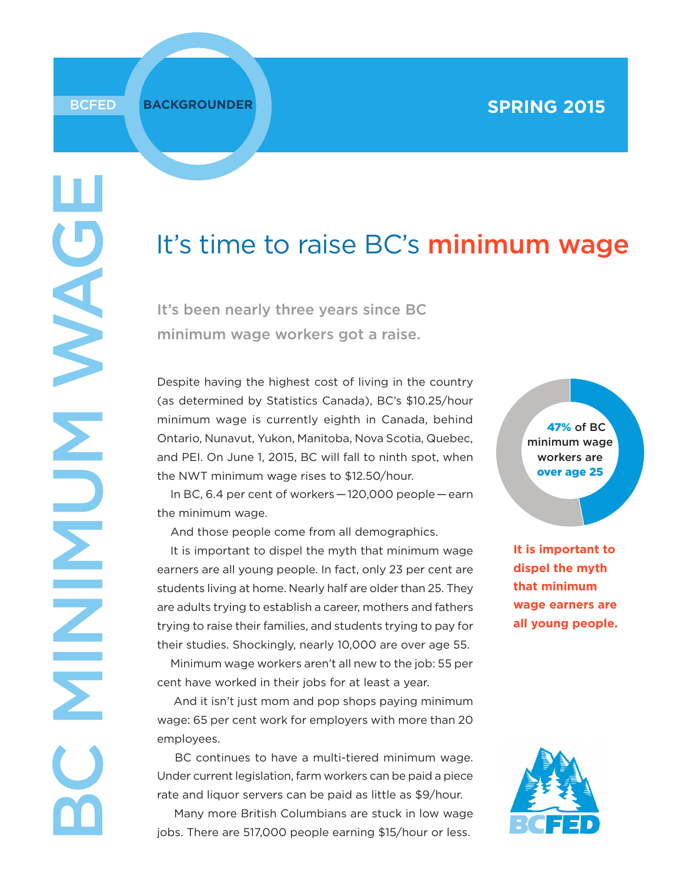# It's time to raise BC's minimum wage

It's been nearly three years since BC minimum wage workers got a raise.

Despite having the highest cost of living in the country (as determined by Statistics Canada), BC's \$10.25/hour minimum wage is currently eighth in Canada, behind Ontario, Nunavut, Yukon, Manitoba, Nova Scotia, Quebec, and PEI. On June 1, 2015, BC will fall to ninth spot, when the NWT minimum wage rises to \$12.50/hour.

In BC, 6.4 per cent of workers — 120,000 people — earn the minimum wage.

And those people come from all demographics.

It is important to dispel the myth that minimum wage earners are all young people. In fact, only 23 per cent are students living at home. Nearly half are older than 25. They are adults trying to establish a career, mothers and fathers trying to raise their families, and students trying to pay for their studies. Shockingly, nearly 10,000 are over age 55. Minimum wage workers aren't all new to the job: 55 per

cent have worked in their jobs for at least a year.

 And it isn't just mom and pop shops paying minimum wage: 65 per cent work for employers with more than 20 employees.

 BC continues to have a multi-tiered minimum wage. Under current legislation, farm workers can be paid a piece rate and liquor servers can be paid as little as \$9/hour. Many more British Columbians are stuck in low wage jobs. There are 517,000 people earning \$15/hour or less.

47% of BC minimum wage workers are over age 25

**It is important to dispel the myth that minimum wage earners are all young people.** 

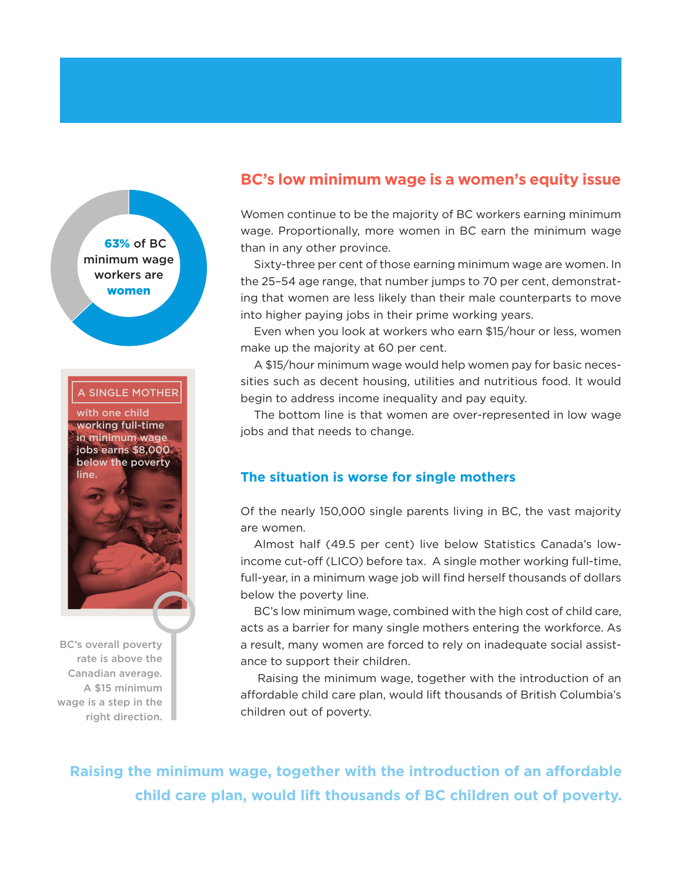

BC's overall poverty rate is above the Canadian average. A \$15 minimum wage is a step in the right direction.

# **BC's low minimum wage is a women's equity issue**

Women continue to be the majority of BC workers earning minimum wage. Proportionally, more women in BC earn the minimum wage than in any other province.

Sixty-three per cent of those earning minimum wage are women. In the 25–54 age range, that number jumps to 70 per cent, demonstrating that women are less likely than their male counterparts to move into higher paying jobs in their prime working years.

Even when you look at workers who earn \$15/hour or less, women make up the majority at 60 per cent.

A \$15/hour minimum wage would help women pay for basic necessities such as decent housing, utilities and nutritious food. It would begin to address income inequality and pay equity.

The bottom line is that women are over-represented in low wage jobs and that needs to change.

#### **The situation is worse for single mothers**

Of the nearly 150,000 single parents living in BC, the vast majority are women.

Almost half (49.5 per cent) live below Statistics Canada's lowincome cut-off (LICO) before tax. A single mother working full-time, full-year, in a minimum wage job will find herself thousands of dollars below the poverty line.

BC's low minimum wage, combined with the high cost of child care, acts as a barrier for many single mothers entering the workforce. As a result, many women are forced to rely on inadequate social assistance to support their children.

 Raising the minimum wage, together with the introduction of an affordable child care plan, would lift thousands of British Columbia's children out of poverty.

 **Raising the minimum wage, together with the introduction of an affordable child care plan, would lift thousands of BC children out of poverty.**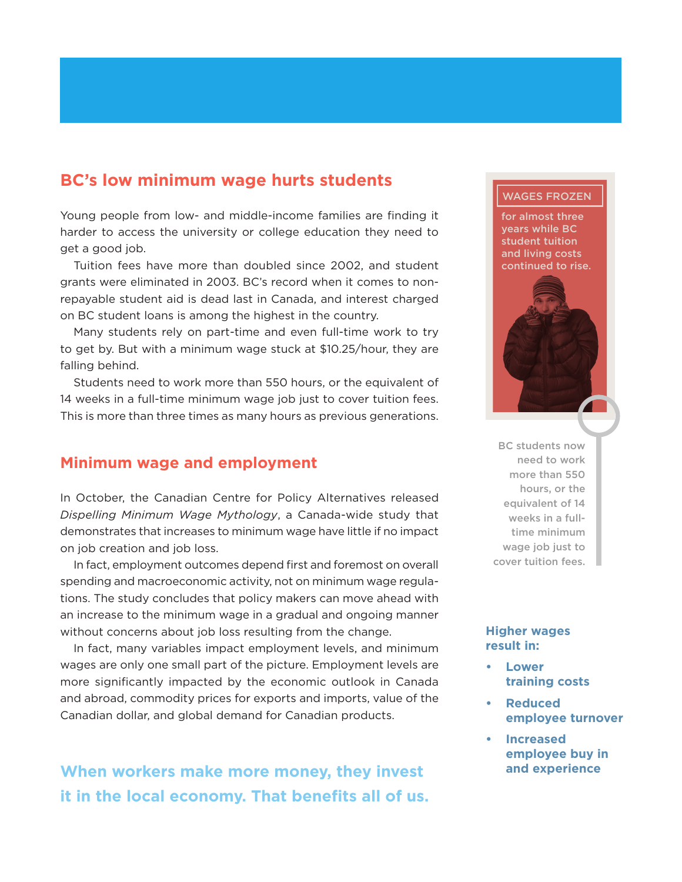## **BC's low minimum wage hurts students**

Young people from low- and middle-income families are finding it harder to access the university or college education they need to get a good job.

Tuition fees have more than doubled since 2002, and student grants were eliminated in 2003. BC's record when it comes to nonrepayable student aid is dead last in Canada, and interest charged on BC student loans is among the highest in the country.

Many students rely on part-time and even full-time work to try to get by. But with a minimum wage stuck at \$10.25/hour, they are falling behind.

Students need to work more than 550 hours, or the equivalent of 14 weeks in a full-time minimum wage job just to cover tuition fees. This is more than three times as many hours as previous generations.

## **Minimum wage and employment**

In October, the Canadian Centre for Policy Alternatives released *Dispelling Minimum Wage Mythology*, a Canada-wide study that demonstrates that increases to minimum wage have little if no impact on job creation and job loss.

In fact, employment outcomes depend first and foremost on overall spending and macroeconomic activity, not on minimum wage regulations. The study concludes that policy makers can move ahead with an increase to the minimum wage in a gradual and ongoing manner without concerns about job loss resulting from the change.

In fact, many variables impact employment levels, and minimum wages are only one small part of the picture. Employment levels are more significantly impacted by the economic outlook in Canada and abroad, commodity prices for exports and imports, value of the Canadian dollar, and global demand for Canadian products.

**When workers make more money, they invest and experience it in the local economy. That benefits all of us.**

#### WAGES FROZEN

for almost three years while BC student tuition and living costs continued to rise.



BC students now need to work more than 550 hours, or the equivalent of 14 weeks in a fulltime minimum wage job just to cover tuition fees.

#### **Higher wages result in:**

- **Lower training costs**
- **• Reduced employee turnover**
- **• Increased employee buy in**